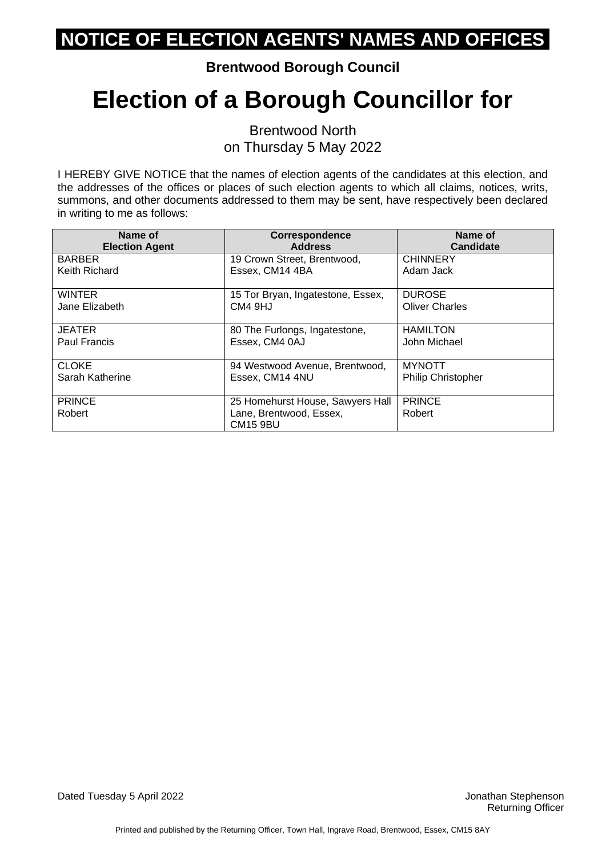**Brentwood Borough Council**

# **Election of a Borough Councillor for**

Brentwood North on Thursday 5 May 2022

I HEREBY GIVE NOTICE that the names of election agents of the candidates at this election, and the addresses of the offices or places of such election agents to which all claims, notices, writs, summons, and other documents addressed to them may be sent, have respectively been declared in writing to me as follows:

| Name of<br><b>Election Agent</b> | <b>Correspondence</b><br><b>Address</b>    | Name of<br><b>Candidate</b> |
|----------------------------------|--------------------------------------------|-----------------------------|
| <b>BARBER</b>                    | 19 Crown Street, Brentwood,                | <b>CHINNERY</b>             |
| Keith Richard                    | Essex, CM14 4BA                            | Adam Jack                   |
| <b>WINTER</b>                    | 15 Tor Bryan, Ingatestone, Essex,          | <b>DUROSE</b>               |
| Jane Elizabeth                   | CM4 9HJ                                    | <b>Oliver Charles</b>       |
| <b>JEATER</b>                    | 80 The Furlongs, Ingatestone,              | <b>HAMILTON</b>             |
| Paul Francis                     | Essex, CM4 0AJ                             | John Michael                |
| <b>CLOKE</b>                     | 94 Westwood Avenue, Brentwood,             | <b>MYNOTT</b>               |
| Sarah Katherine                  | Essex, CM14 4NU                            | <b>Philip Christopher</b>   |
| <b>PRINCE</b>                    | 25 Homehurst House, Sawyers Hall           | <b>PRINCE</b>               |
| Robert                           | Lane, Brentwood, Essex,<br><b>CM15 9BU</b> | Robert                      |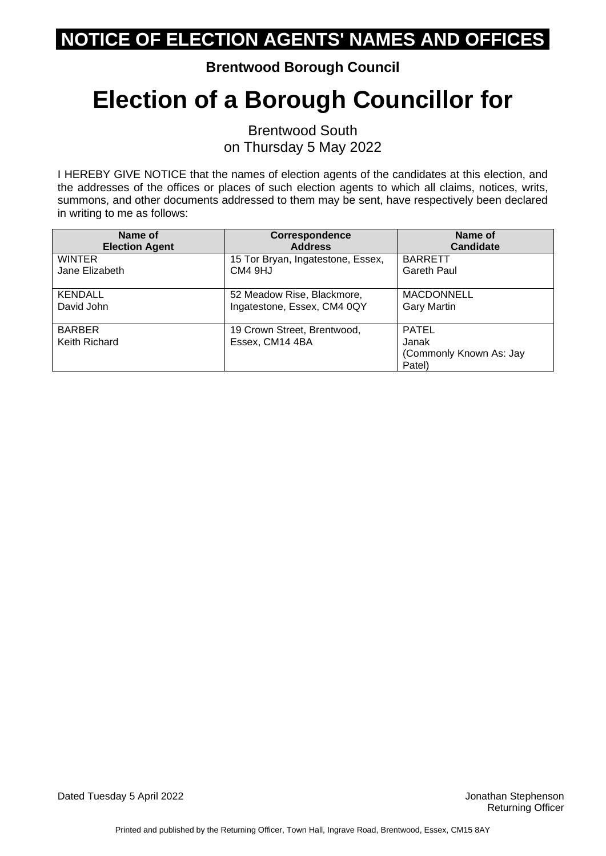**Brentwood Borough Council**

# **Election of a Borough Councillor for**

Brentwood South on Thursday 5 May 2022

I HEREBY GIVE NOTICE that the names of election agents of the candidates at this election, and the addresses of the offices or places of such election agents to which all claims, notices, writs, summons, and other documents addressed to them may be sent, have respectively been declared in writing to me as follows:

| Name of                        | <b>Correspondence</b>                          | Name of                                                    |
|--------------------------------|------------------------------------------------|------------------------------------------------------------|
| <b>Election Agent</b>          | <b>Address</b>                                 | <b>Candidate</b>                                           |
| <b>WINTER</b>                  | 15 Tor Bryan, Ingatestone, Essex,              | <b>BARRETT</b>                                             |
| Jane Elizabeth                 | CM4 9HJ                                        | Gareth Paul                                                |
| <b>KENDALL</b>                 | 52 Meadow Rise, Blackmore,                     | <b>MACDONNELL</b>                                          |
| David John                     | Ingatestone, Essex, CM4 0QY                    | <b>Gary Martin</b>                                         |
| <b>BARBER</b><br>Keith Richard | 19 Crown Street, Brentwood,<br>Essex, CM14 4BA | <b>PATEL</b><br>Janak<br>(Commonly Known As: Jay<br>Patel) |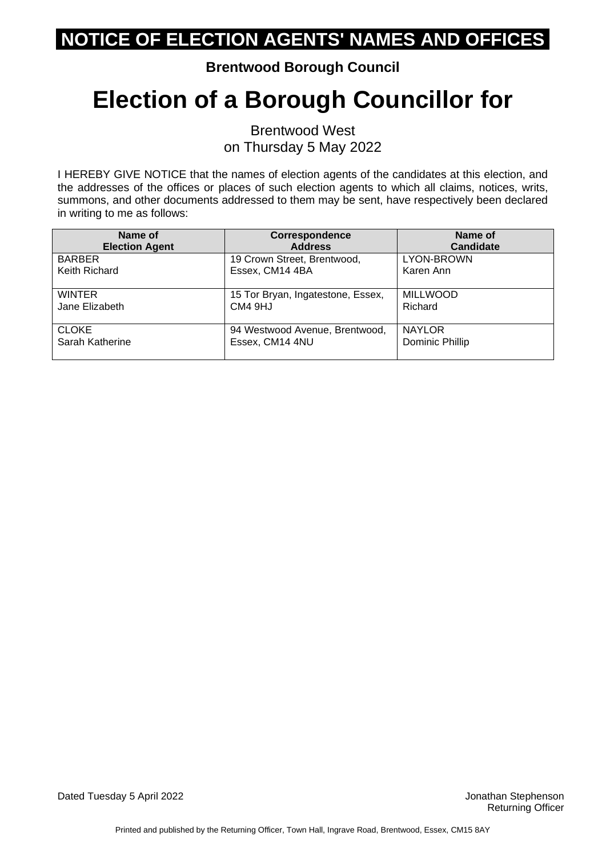**Brentwood Borough Council**

# **Election of a Borough Councillor for**

Brentwood West on Thursday 5 May 2022

I HEREBY GIVE NOTICE that the names of election agents of the candidates at this election, and the addresses of the offices or places of such election agents to which all claims, notices, writs, summons, and other documents addressed to them may be sent, have respectively been declared in writing to me as follows:

| Name of               | Correspondence                    | Name of          |
|-----------------------|-----------------------------------|------------------|
| <b>Election Agent</b> | <b>Address</b>                    | <b>Candidate</b> |
| <b>BARBER</b>         | 19 Crown Street, Brentwood,       | LYON-BROWN       |
| Keith Richard         | Essex, CM14 4BA                   | Karen Ann        |
| <b>WINTER</b>         | 15 Tor Bryan, Ingatestone, Essex, | <b>MILLWOOD</b>  |
| Jane Elizabeth        | CM4 9HJ                           | Richard          |
| <b>CLOKE</b>          | 94 Westwood Avenue, Brentwood,    | <b>NAYLOR</b>    |
| Sarah Katherine       | Essex, CM14 4NU                   | Dominic Phillip  |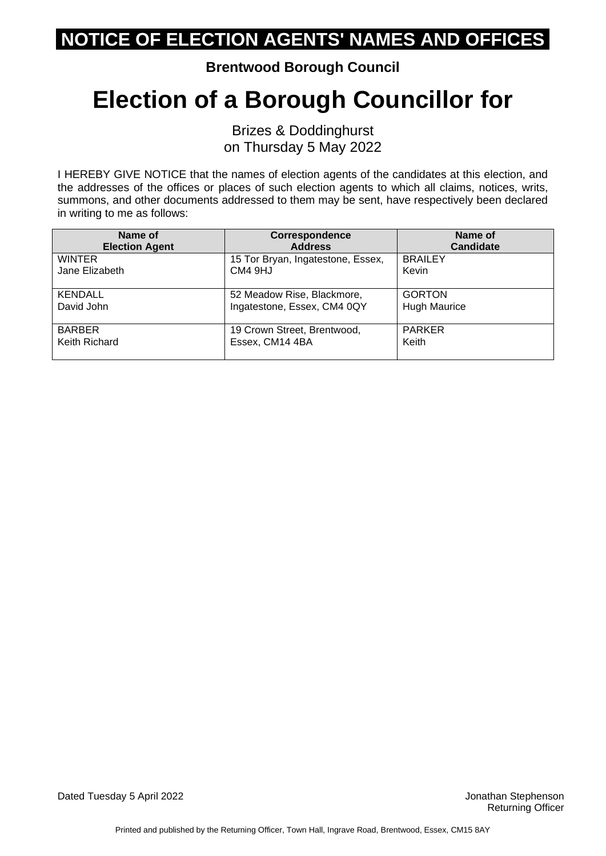**Brentwood Borough Council**

## **Election of a Borough Councillor for**

Brizes & Doddinghurst on Thursday 5 May 2022

I HEREBY GIVE NOTICE that the names of election agents of the candidates at this election, and the addresses of the offices or places of such election agents to which all claims, notices, writs, summons, and other documents addressed to them may be sent, have respectively been declared in writing to me as follows:

| Name of               | Correspondence                    | Name of             |
|-----------------------|-----------------------------------|---------------------|
| <b>Election Agent</b> | <b>Address</b>                    | <b>Candidate</b>    |
| WINTER                | 15 Tor Bryan, Ingatestone, Essex, | <b>BRAILEY</b>      |
| Jane Elizabeth        | CM4 9HJ                           | Kevin               |
| <b>KENDALL</b>        | 52 Meadow Rise, Blackmore,        | <b>GORTON</b>       |
| David John            | Ingatestone, Essex, CM4 0QY       | <b>Hugh Maurice</b> |
| <b>BARBER</b>         | 19 Crown Street, Brentwood,       | <b>PARKER</b>       |
| Keith Richard         | Essex, CM14 4BA                   | Keith               |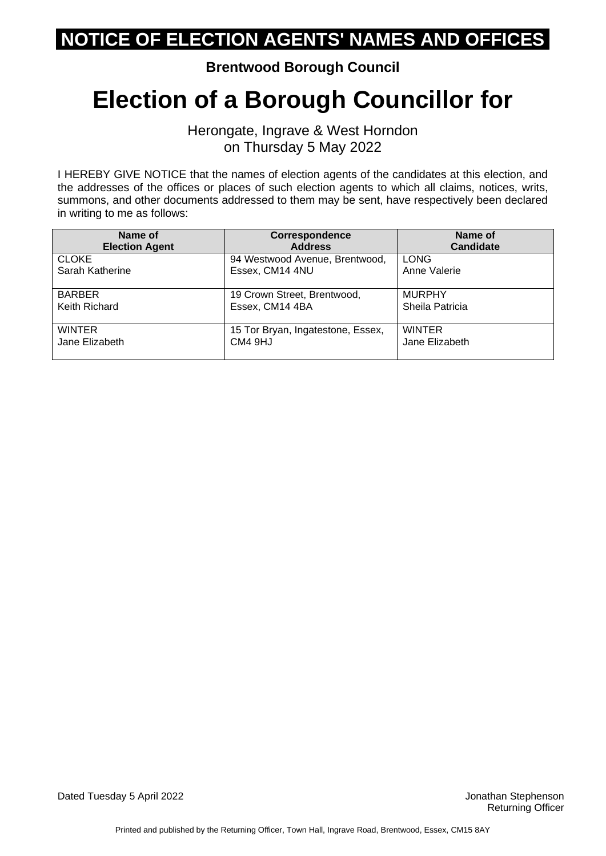**Brentwood Borough Council**

## **Election of a Borough Councillor for**

Herongate, Ingrave & West Horndon on Thursday 5 May 2022

I HEREBY GIVE NOTICE that the names of election agents of the candidates at this election, and the addresses of the offices or places of such election agents to which all claims, notices, writs, summons, and other documents addressed to them may be sent, have respectively been declared in writing to me as follows:

| Name of               | Correspondence                    | Name of          |
|-----------------------|-----------------------------------|------------------|
| <b>Election Agent</b> | <b>Address</b>                    | <b>Candidate</b> |
| <b>CLOKE</b>          | 94 Westwood Avenue, Brentwood,    | <b>LONG</b>      |
| Sarah Katherine       | Essex, CM14 4NU                   | Anne Valerie     |
| <b>BARBER</b>         | 19 Crown Street, Brentwood,       | <b>MURPHY</b>    |
| Keith Richard         | Essex, CM14 4BA                   | Sheila Patricia  |
| <b>WINTER</b>         | 15 Tor Bryan, Ingatestone, Essex, | <b>WINTER</b>    |
| Jane Elizabeth        | CM4 9HJ                           | Jane Elizabeth   |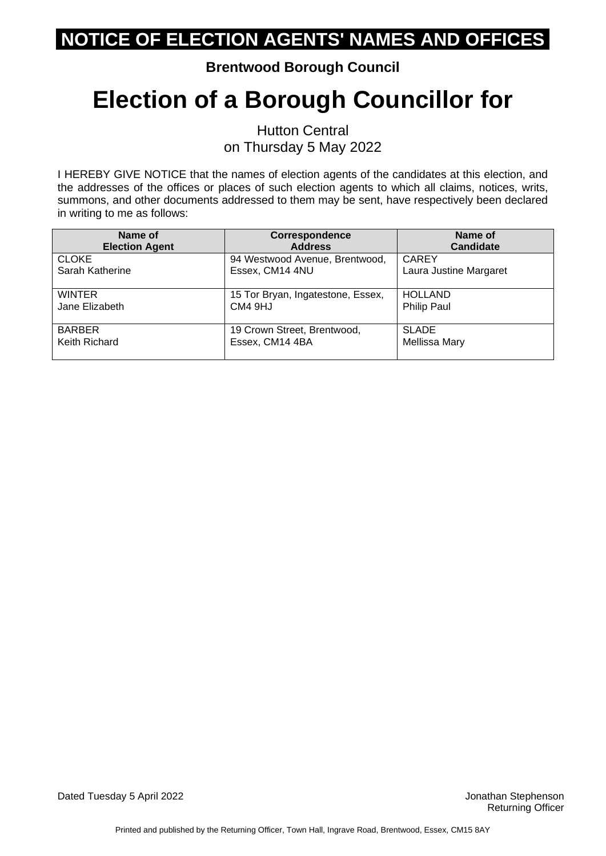#### **Brentwood Borough Council**

# **Election of a Borough Councillor for**

Hutton Central on Thursday 5 May 2022

I HEREBY GIVE NOTICE that the names of election agents of the candidates at this election, and the addresses of the offices or places of such election agents to which all claims, notices, writs, summons, and other documents addressed to them may be sent, have respectively been declared in writing to me as follows:

| Name of               | <b>Correspondence</b>             | Name of                |
|-----------------------|-----------------------------------|------------------------|
| <b>Election Agent</b> | <b>Address</b>                    | <b>Candidate</b>       |
| <b>CLOKE</b>          | 94 Westwood Avenue, Brentwood,    | <b>CAREY</b>           |
| Sarah Katherine       | Essex, CM14 4NU                   | Laura Justine Margaret |
| WINTER                | 15 Tor Bryan, Ingatestone, Essex, | <b>HOLLAND</b>         |
| Jane Elizabeth        | CM4 9HJ                           | <b>Philip Paul</b>     |
| <b>BARBER</b>         | 19 Crown Street, Brentwood,       | <b>SLADE</b>           |
| Keith Richard         | Essex, CM14 4BA                   | Mellissa Mary          |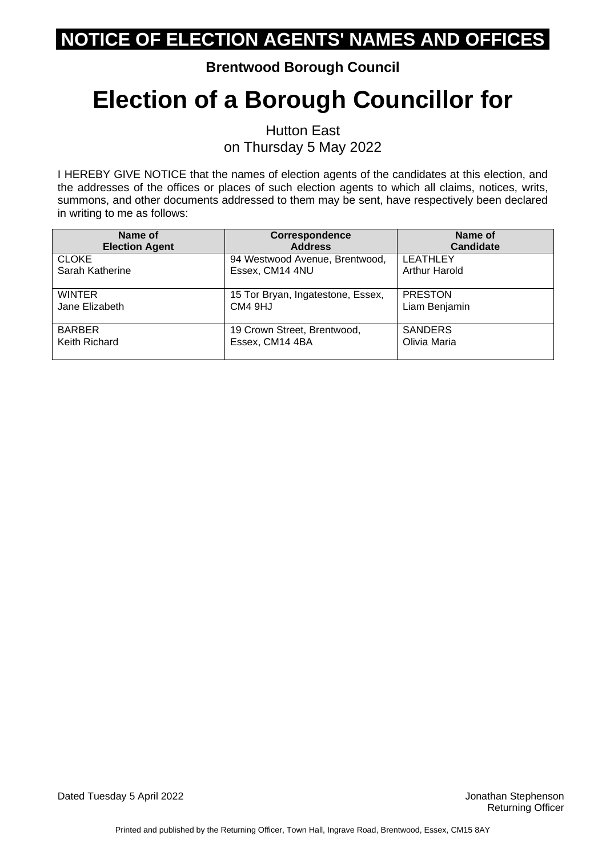#### **Brentwood Borough Council**

# **Election of a Borough Councillor for**

Hutton East on Thursday 5 May 2022

I HEREBY GIVE NOTICE that the names of election agents of the candidates at this election, and the addresses of the offices or places of such election agents to which all claims, notices, writs, summons, and other documents addressed to them may be sent, have respectively been declared in writing to me as follows:

| Name of               | Correspondence                    | Name of              |
|-----------------------|-----------------------------------|----------------------|
| <b>Election Agent</b> | <b>Address</b>                    | <b>Candidate</b>     |
| <b>CLOKE</b>          | 94 Westwood Avenue, Brentwood,    | <b>LEATHLEY</b>      |
| Sarah Katherine       | Essex, CM14 4NU                   | <b>Arthur Harold</b> |
| <b>WINTER</b>         | 15 Tor Bryan, Ingatestone, Essex, | <b>PRESTON</b>       |
| Jane Elizabeth        | CM4 9HJ                           | Liam Benjamin        |
| <b>BARBER</b>         | 19 Crown Street, Brentwood,       | <b>SANDERS</b>       |
| Keith Richard         | Essex, CM14 4BA                   | Olivia Maria         |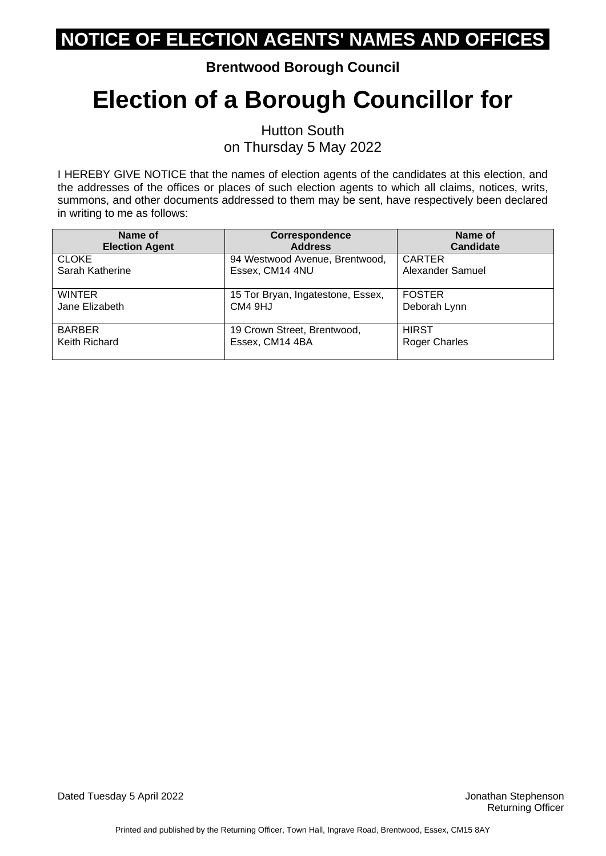#### **Brentwood Borough Council**

# **Election of a Borough Councillor for**

Hutton South on Thursday 5 May 2022

I HEREBY GIVE NOTICE that the names of election agents of the candidates at this election, and the addresses of the offices or places of such election agents to which all claims, notices, writs, summons, and other documents addressed to them may be sent, have respectively been declared in writing to me as follows:

| Name of<br><b>Election Agent</b> | <b>Correspondence</b><br><b>Address</b> | Name of<br><b>Candidate</b> |
|----------------------------------|-----------------------------------------|-----------------------------|
| <b>CLOKE</b>                     | 94 Westwood Avenue, Brentwood,          | <b>CARTER</b>               |
| Sarah Katherine                  | Essex, CM14 4NU                         | Alexander Samuel            |
| <b>WINTER</b>                    | 15 Tor Bryan, Ingatestone, Essex,       | <b>FOSTER</b>               |
| Jane Elizabeth                   | CM4 9HJ                                 | Deborah Lynn                |
| <b>BARBER</b>                    | 19 Crown Street, Brentwood,             | <b>HIRST</b>                |
| Keith Richard                    | Essex, CM14 4BA                         | <b>Roger Charles</b>        |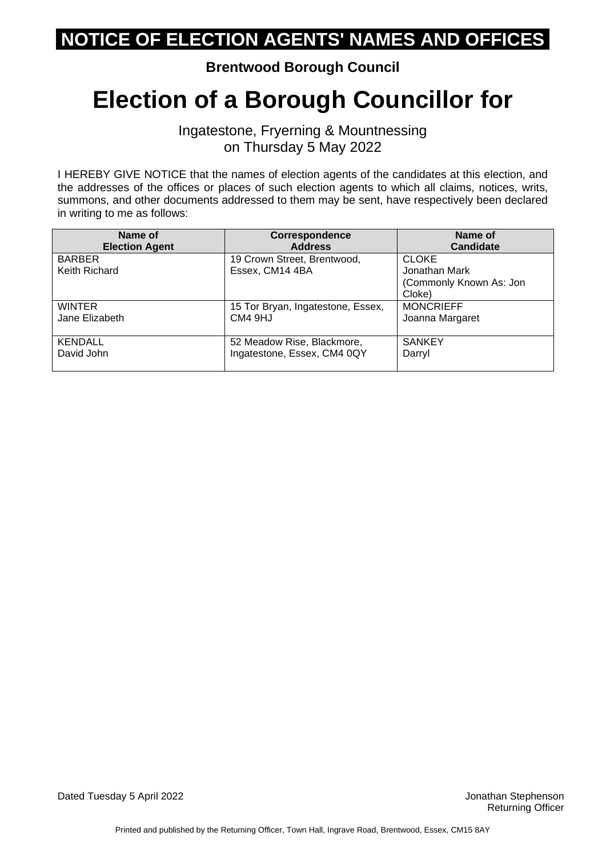**Brentwood Borough Council**

## **Election of a Borough Councillor for**

Ingatestone, Fryerning & Mountnessing on Thursday 5 May 2022

I HEREBY GIVE NOTICE that the names of election agents of the candidates at this election, and the addresses of the offices or places of such election agents to which all claims, notices, writs, summons, and other documents addressed to them may be sent, have respectively been declared in writing to me as follows:

| Name of<br><b>Election Agent</b> | <b>Correspondence</b><br><b>Address</b> | Name of<br><b>Candidate</b> |
|----------------------------------|-----------------------------------------|-----------------------------|
| <b>BARBER</b>                    | 19 Crown Street, Brentwood,             | <b>CLOKE</b>                |
| Keith Richard                    | Essex, CM14 4BA                         | Jonathan Mark               |
|                                  |                                         | (Commonly Known As: Jon     |
|                                  |                                         | Cloke)                      |
| <b>WINTER</b>                    | 15 Tor Bryan, Ingatestone, Essex,       | <b>MONCRIEFF</b>            |
| Jane Elizabeth                   | CM4 9HJ                                 | Joanna Margaret             |
|                                  |                                         |                             |
| <b>KENDALL</b>                   | 52 Meadow Rise, Blackmore,              | <b>SANKEY</b>               |
| David John                       | Ingatestone, Essex, CM4 0QY             | Darryl                      |
|                                  |                                         |                             |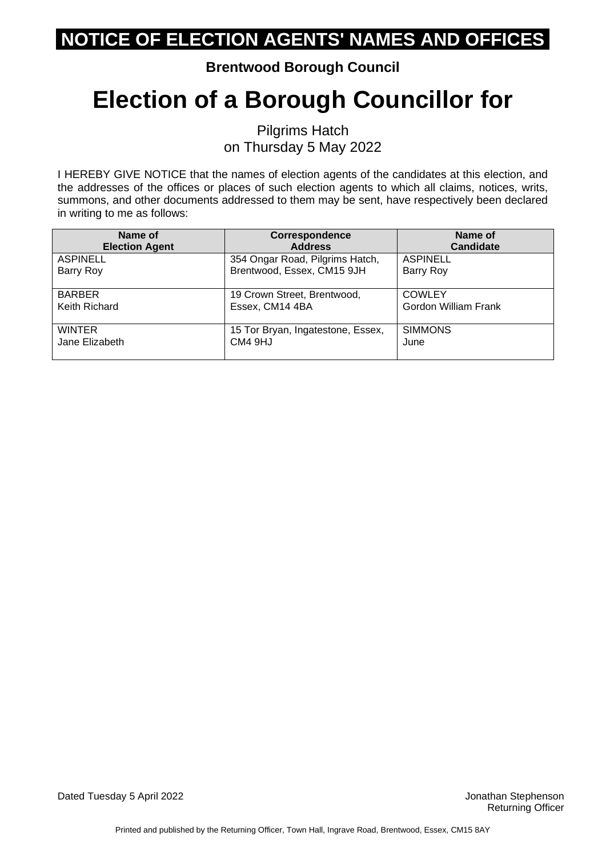#### **Brentwood Borough Council**

## **Election of a Borough Councillor for**

Pilgrims Hatch on Thursday 5 May 2022

I HEREBY GIVE NOTICE that the names of election agents of the candidates at this election, and the addresses of the offices or places of such election agents to which all claims, notices, writs, summons, and other documents addressed to them may be sent, have respectively been declared in writing to me as follows:

| Name of               | <b>Correspondence</b>             | Name of              |
|-----------------------|-----------------------------------|----------------------|
| <b>Election Agent</b> | <b>Address</b>                    | <b>Candidate</b>     |
| <b>ASPINELL</b>       | 354 Ongar Road, Pilgrims Hatch,   | <b>ASPINELL</b>      |
| Barry Roy             | Brentwood, Essex, CM15 9JH        | Barry Roy            |
| <b>BARBER</b>         | 19 Crown Street, Brentwood,       | <b>COWLEY</b>        |
| Keith Richard         | Essex, CM14 4BA                   | Gordon William Frank |
| <b>WINTER</b>         | 15 Tor Bryan, Ingatestone, Essex, | <b>SIMMONS</b>       |
| Jane Elizabeth        | CM4 9HJ                           | June                 |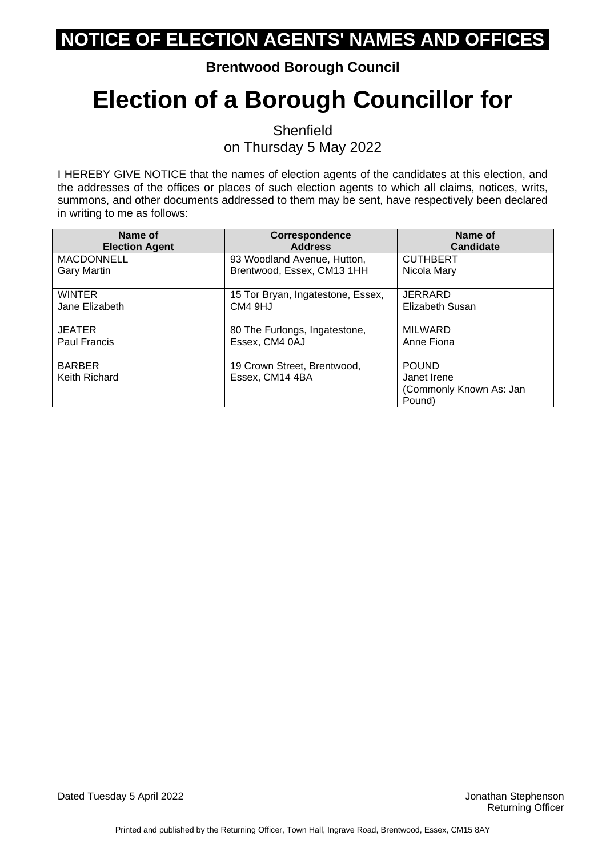#### **Brentwood Borough Council**

# **Election of a Borough Councillor for**

**Shenfield** on Thursday 5 May 2022

I HEREBY GIVE NOTICE that the names of election agents of the candidates at this election, and the addresses of the offices or places of such election agents to which all claims, notices, writs, summons, and other documents addressed to them may be sent, have respectively been declared in writing to me as follows:

| Name of<br><b>Election Agent</b> | <b>Correspondence</b><br><b>Address</b> | Name of<br><b>Candidate</b>       |
|----------------------------------|-----------------------------------------|-----------------------------------|
| <b>MACDONNELL</b>                | 93 Woodland Avenue, Hutton,             | <b>CUTHBERT</b>                   |
| <b>Gary Martin</b>               | Brentwood, Essex, CM13 1HH              | Nicola Mary                       |
| <b>WINTER</b>                    | 15 Tor Bryan, Ingatestone, Essex,       | <b>JERRARD</b>                    |
| Jane Elizabeth                   | CM4 9HJ                                 | Elizabeth Susan                   |
| <b>JEATER</b>                    | 80 The Furlongs, Ingatestone,           | <b>MILWARD</b>                    |
| <b>Paul Francis</b>              | Essex, CM4 0AJ                          | Anne Fiona                        |
| <b>BARBER</b>                    | 19 Crown Street, Brentwood,             | <b>POUND</b>                      |
| Keith Richard                    | Essex, CM14 4BA                         | Janet Irene                       |
|                                  |                                         | (Commonly Known As: Jan<br>Pound) |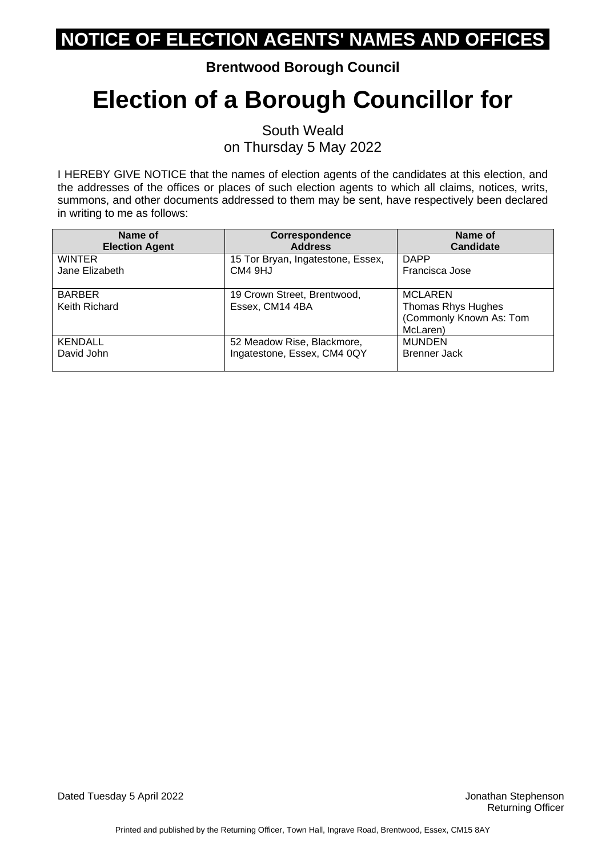#### **Brentwood Borough Council**

# **Election of a Borough Councillor for**

South Weald on Thursday 5 May 2022

I HEREBY GIVE NOTICE that the names of election agents of the candidates at this election, and the addresses of the offices or places of such election agents to which all claims, notices, writs, summons, and other documents addressed to them may be sent, have respectively been declared in writing to me as follows:

| Name of<br><b>Election Agent</b> | <b>Correspondence</b><br><b>Address</b> | Name of<br><b>Candidate</b> |
|----------------------------------|-----------------------------------------|-----------------------------|
| <b>WINTER</b>                    | 15 Tor Bryan, Ingatestone, Essex,       | <b>DAPP</b>                 |
| Jane Elizabeth                   | CM4 9HJ                                 | Francisca Jose              |
| <b>BARBER</b>                    | 19 Crown Street, Brentwood,             | <b>MCLAREN</b>              |
| Keith Richard                    | Essex, CM14 4BA                         | Thomas Rhys Hughes          |
|                                  |                                         | (Commonly Known As: Tom     |
|                                  |                                         | McLaren)                    |
| <b>KENDALL</b>                   | 52 Meadow Rise, Blackmore,              | <b>MUNDEN</b>               |
| David John                       | Ingatestone, Essex, CM4 0QY             | Brenner Jack                |